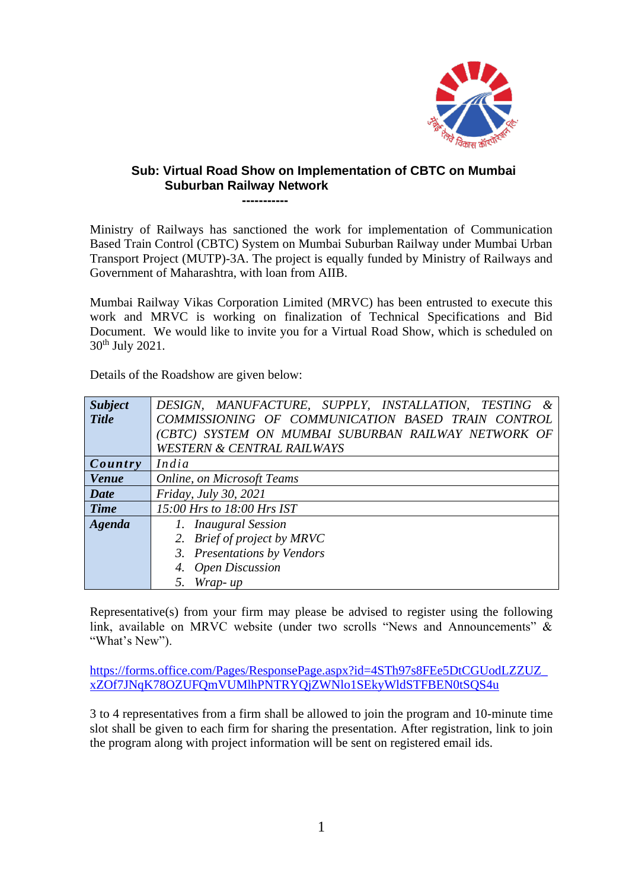

## **Sub: Virtual Road Show on Implementation of CBTC on Mumbai Suburban Railway Network -----------**

Ministry of Railways has sanctioned the work for implementation of Communication Based Train Control (CBTC) System on Mumbai Suburban Railway under Mumbai Urban Transport Project (MUTP)-3A. The project is equally funded by Ministry of Railways and Government of Maharashtra, with loan from AIIB.

Mumbai Railway Vikas Corporation Limited (MRVC) has been entrusted to execute this work and MRVC is working on finalization of Technical Specifications and Bid Document. We would like to invite you for a Virtual Road Show, which is scheduled on 30th July 2021.

| <b>Subject</b> | DESIGN, MANUFACTURE, SUPPLY, INSTALLATION, TESTING  |
|----------------|-----------------------------------------------------|
| <b>Title</b>   | COMMISSIONING OF COMMUNICATION BASED TRAIN CONTROL  |
|                | (CBTC) SYSTEM ON MUMBAI SUBURBAN RAILWAY NETWORK OF |
|                | <b>WESTERN &amp; CENTRAL RAILWAYS</b>               |
| Country        | India                                               |
| <b>Venue</b>   | <b>Online, on Microsoft Teams</b>                   |
| Date           | Friday, July 30, 2021                               |
| <b>Time</b>    | 15:00 Hrs to 18:00 Hrs IST                          |
| Agenda         | 1. Inaugural Session                                |
|                | 2. Brief of project by MRVC                         |
|                | 3. Presentations by Vendors                         |
|                | 4. Open Discussion                                  |
|                | 5. Wrap-up                                          |

Representative(s) from your firm may please be advised to register using the following link, available on MRVC website (under two scrolls "News and Announcements" & "What's New").

[https://forms.office.com/Pages/ResponsePage.aspx?id=4STh97s8FEe5DtCGUodLZZUZ\\_](https://forms.office.com/Pages/ResponsePage.aspx?id=4STh97s8FEe5DtCGUodLZZUZ_xZOf7JNqK78OZUFQmVUMlhPNTRYQjZWNlo1SEkyWldSTFBEN0tSQS4u) [xZOf7JNqK78OZUFQmVUMlhPNTRYQjZWNlo1SEkyWldSTFBEN0tSQS4u](https://forms.office.com/Pages/ResponsePage.aspx?id=4STh97s8FEe5DtCGUodLZZUZ_xZOf7JNqK78OZUFQmVUMlhPNTRYQjZWNlo1SEkyWldSTFBEN0tSQS4u)

3 to 4 representatives from a firm shall be allowed to join the program and 10-minute time slot shall be given to each firm for sharing the presentation. After registration, link to join the program along with project information will be sent on registered email ids.